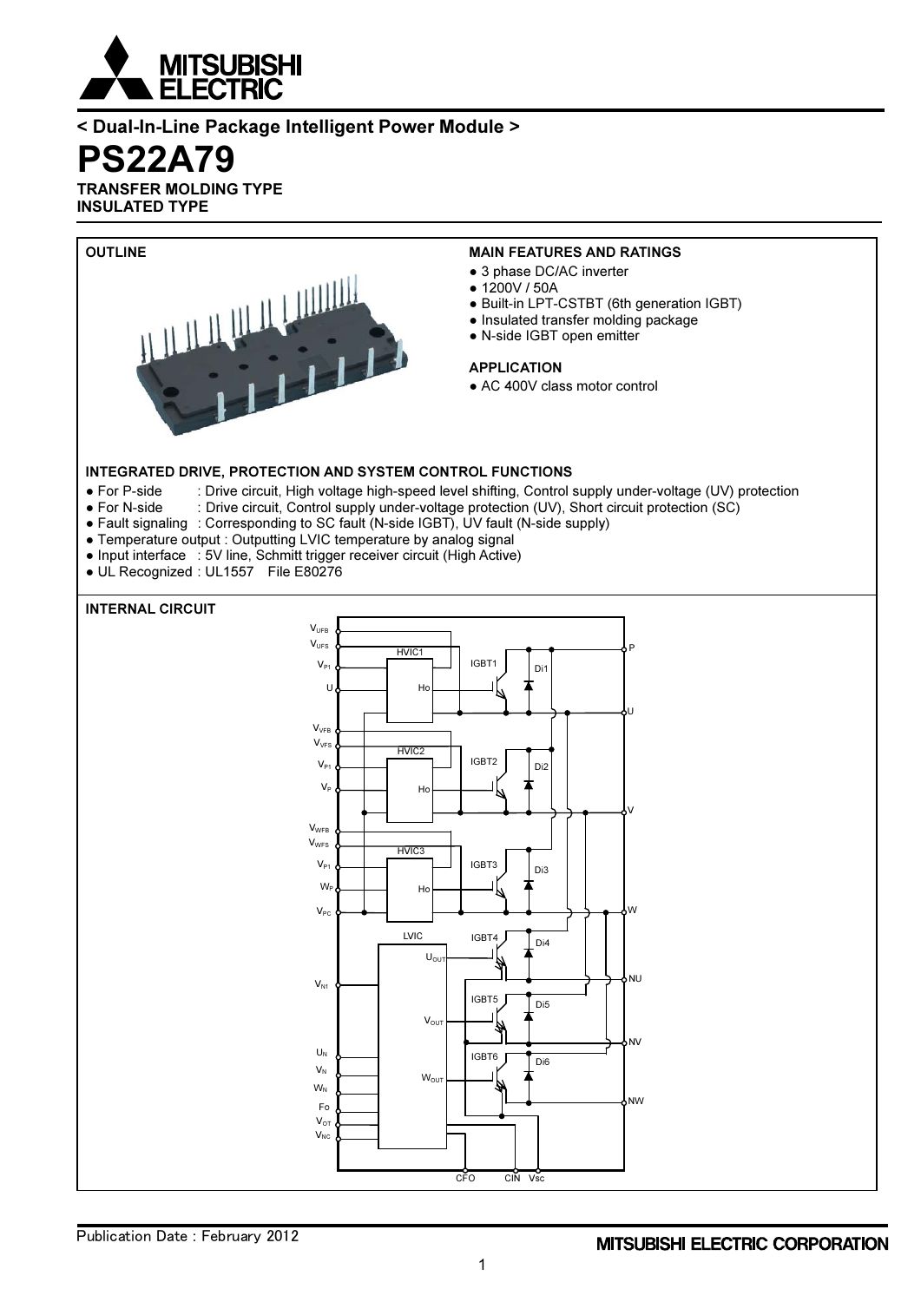

## < Dual-In-Line Package Intelligent Power Module >

PS22A79

TRANSFER MOLDING TYPE INSULATED TYPE

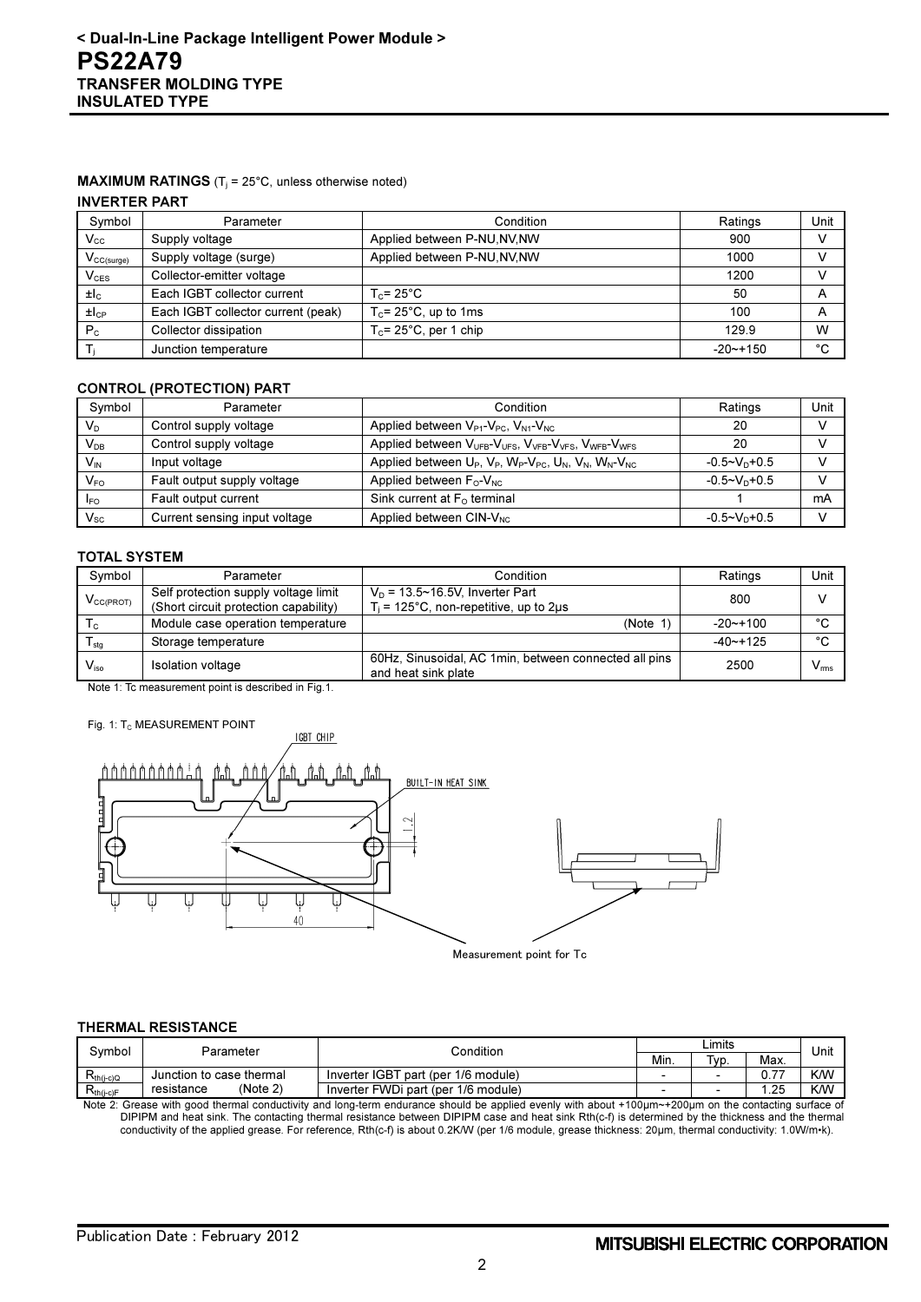## **MAXIMUM RATINGS** ( $T_i$  = 25°C, unless otherwise noted)

#### INVERTER PART

| Symbol                                     | Parameter                          | Condition                    | Ratings     | Unit |
|--------------------------------------------|------------------------------------|------------------------------|-------------|------|
| $\mathsf{V_{cc}}$                          | Supply voltage                     | Applied between P-NU, NV, NW | 900         |      |
| $\mathsf{V}_{\mathsf{CC}(\mathsf{surge})}$ | Supply voltage (surge)             | Applied between P-NU, NV, NW | 1000        |      |
| $\mathsf{V}_{\texttt{CES}}$                | Collector-emitter voltage          |                              | 1200        |      |
| $\pm I_{\rm C}$                            | Each IGBT collector current        | $T_c = 25^{\circ}$ C         | 50          | A    |
| $H_{CP}$                                   | Each IGBT collector current (peak) | $T_c$ = 25°C, up to 1ms      | 100         | A    |
| P <sub>c</sub>                             | Collector dissipation              | $T_c$ = 25°C, per 1 chip     | 129.9       | W    |
|                                            | Junction temperature               |                              | $-20$ ~+150 | °C   |

## CONTROL (PROTECTION) PART

| Symbol                     | Parameter                     | Condition                                                                                                                    | Ratings                     | Unit |
|----------------------------|-------------------------------|------------------------------------------------------------------------------------------------------------------------------|-----------------------------|------|
| $V_D$                      | Control supply voltage        | Applied between $V_{P1}$ - $V_{PC}$ , $V_{N1}$ - $V_{NC}$                                                                    | 20                          |      |
| $\mathsf{V}_{\mathsf{DB}}$ | Control supply voltage        | Applied between V <sub>UFB</sub> -V <sub>UFS</sub> , V <sub>VFB</sub> -V <sub>VFS</sub> , V <sub>WFB</sub> -V <sub>WFS</sub> | 20                          |      |
| $V_{\text{IN}}$            | Input voltage                 | Applied between $U_P$ , $V_P$ , $W_P$ - $V_{PC}$ , $U_N$ , $V_N$ , $W_N$ - $V_{NC}$                                          | $-0.5 - V_{\text{D}} + 0.5$ |      |
| $V_{FO}$                   | Fault output supply voltage   | Applied between $F_{\text{O}}$ - $V_{\text{NC}}$                                                                             | $-0.5 - V_D + 0.5$          |      |
| <b>IFO</b>                 | Fault output current          | Sink current at $F_0$ terminal                                                                                               |                             | mA   |
| $\mathsf{V}_{\mathsf{sc}}$ | Current sensing input voltage | Applied between CIN-V <sub>NC</sub>                                                                                          | $-0.5 \sim V_D + 0.5$       |      |

#### TOTAL SYSTEM

| Symbol                      | Parameter                                                                     | Condition                                                                           | Ratings      | Unit         |
|-----------------------------|-------------------------------------------------------------------------------|-------------------------------------------------------------------------------------|--------------|--------------|
| $V_{CC(PROT)}$              | Self protection supply voltage limit<br>(Short circuit protection capability) | $V_D$ = 13.5~16.5V, Inverter Part<br>$T_i$ = 125°C, non-repetitive, up to 2 $\mu$ s | 800          |              |
| $\mathsf{T}_{\mathsf{C}}$   | Module case operation temperature                                             | (Note 1)                                                                            | $-20$ ~+100  | $\sim$       |
| $\mathsf{T}_{\textsf{stg}}$ | Storage temperature                                                           |                                                                                     | $-40$ $-125$ | $\sim$       |
| $V_{\rm iso}$               | <b>Isolation voltage</b>                                                      | 60Hz, Sinusoidal, AC 1 min, between connected all pins<br>and heat sink plate       | 2500         | $V_{\rm ms}$ |

Note 1: Tc measurement point is described in Fig.1.

#### Fig. 1: T<sub>C</sub> MEASUREMENT POINT



Measurement point for Tc

#### THERMAL RESISTANCE

| Svmbol         | Parameter                | Condition                           |      | ∟imits                   |                |            |
|----------------|--------------------------|-------------------------------------|------|--------------------------|----------------|------------|
|                |                          |                                     | Min. | Typ.                     | Max.           | Unit       |
| $R_{th(i-c)Q}$ | Junction to case thermal | Inverter IGBT part (per 1/6 module) |      | $\overline{\phantom{0}}$ | $\overline{ }$ | <b>K/W</b> |
| $R_{th(i-c)F}$ | (Note 2)<br>resistance   | Inverter FWDi part (per 1/6 module) |      | $\overline{\phantom{0}}$ | .25            | <b>KM</b>  |

Note 2: Grease with good thermal conductivity and long-term endurance should be applied evenly with about +100μm~+200μm on the contacting surface of DIPIPM and heat sink. The contacting thermal resistance between DIPIPM case and heat sink Rth(c-f) is determined by the thickness and the thermal conductivity of the applied grease. For reference, Rth(c-f) is about 0.2K/W (per 1/6 module, grease thickness: 20μm, thermal conductivity: 1.0W/m•k).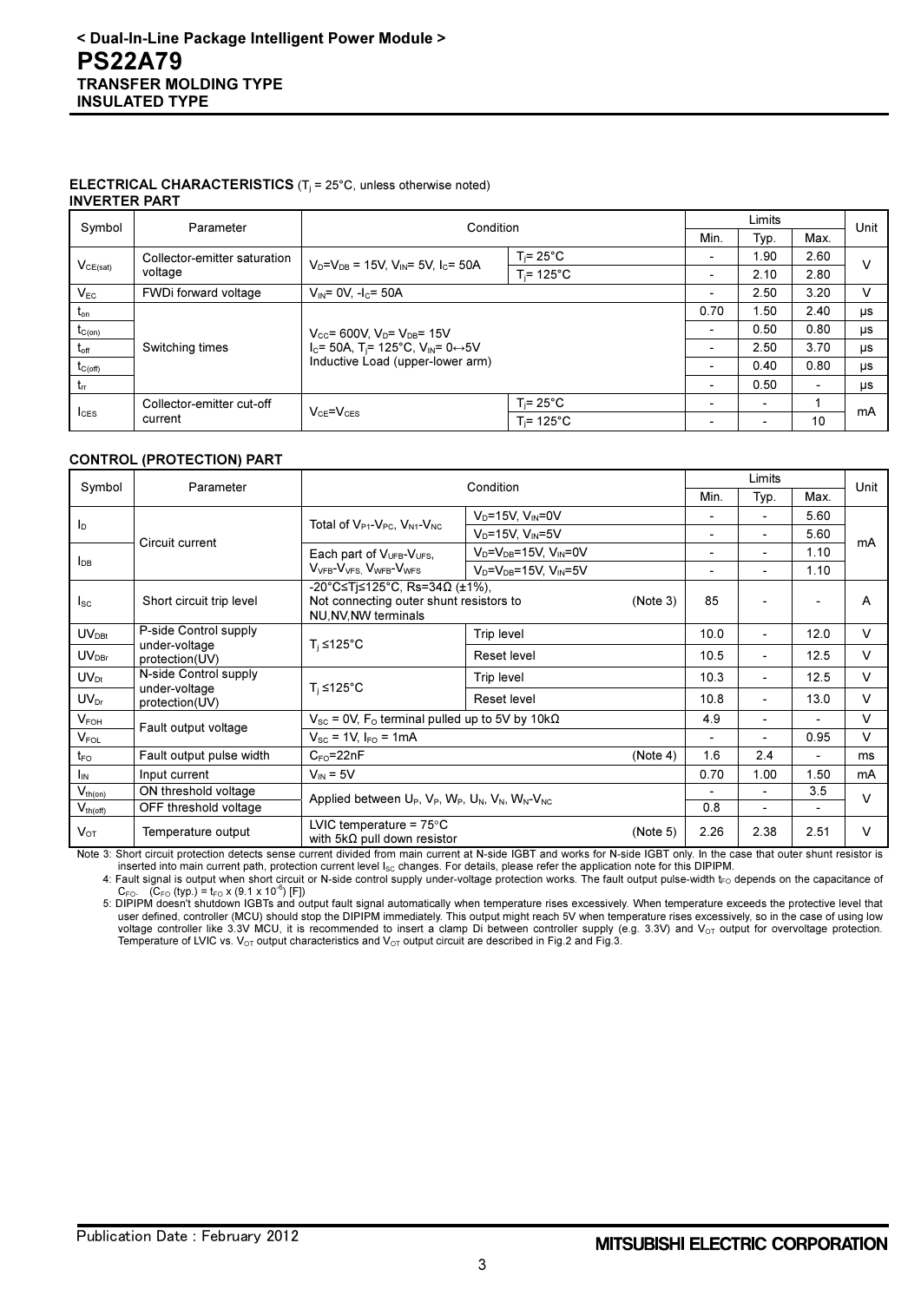#### **ELECTRICAL CHARACTERISTICS** ( $T_i$  = 25°C, unless otherwise noted) INVERTER PART

| Symbol           | Parameter                    |                                                                |                     |                          | Limits<br>Condition      |      |    |  | Unit |  |
|------------------|------------------------------|----------------------------------------------------------------|---------------------|--------------------------|--------------------------|------|----|--|------|--|
|                  |                              |                                                                |                     | Min.                     | Typ.                     | Max. |    |  |      |  |
|                  | Collector-emitter saturation | $V_D = V_{DB} = 15V$ , $V_{IN} = 5V$ , $I_C = 50A$             | $T_i = 25^{\circ}C$ | $\overline{\phantom{0}}$ | l.90                     | 2.60 | v  |  |      |  |
| $V_{CE(sat)}$    | voltage                      |                                                                | $T = 125^{\circ}C$  | $\overline{\phantom{0}}$ | 2.10                     | 2.80 |    |  |      |  |
| $V_{EC}$         | FWDi forward voltage         | $V_{IN} = 0V$ , $-I_C = 50A$                                   |                     |                          | 2.50                     | 3.20 | v  |  |      |  |
| $t_{on}$         |                              |                                                                |                     | 0.70                     | l.50                     | 2.40 | μs |  |      |  |
| $t_{C(on)}$      |                              | $V_{\text{cc}}$ = 600V, $V_{\text{D}}$ = $V_{\text{DB}}$ = 15V |                     | $\overline{\phantom{0}}$ | 0.50                     | 0.80 | μs |  |      |  |
| $t_{\text{off}}$ | Switching times              | $I_c$ = 50A, T <sub>i</sub> = 125°C, V <sub>IN</sub> = 0↔5V    |                     | $\overline{\phantom{0}}$ | 2.50                     | 3.70 | μs |  |      |  |
| $t_{C(off)}$     |                              | Inductive Load (upper-lower arm)                               |                     | $\overline{\phantom{a}}$ | 0.40                     | 0.80 | μs |  |      |  |
| $t_{rr}$         |                              |                                                                |                     | $\overline{\phantom{a}}$ | 0.50                     | ۰.   | μs |  |      |  |
|                  | Collector-emitter cut-off    |                                                                | $T_i = 25^{\circ}C$ | $\overline{\phantom{0}}$ | ٠                        |      | mA |  |      |  |
| $I_{CES}$        | current                      | $V_{CE} = V_{CES}$                                             | $T = 125^{\circ}C$  | $\overline{\phantom{0}}$ | $\overline{\phantom{0}}$ | 10   |    |  |      |  |

### CONTROL (PROTECTION) PART

| Symbol            | Parameter                              | Condition                                                                                                    |                                      | Limits   |                              |                          | Unit   |        |
|-------------------|----------------------------------------|--------------------------------------------------------------------------------------------------------------|--------------------------------------|----------|------------------------------|--------------------------|--------|--------|
|                   |                                        |                                                                                                              |                                      |          | Min.                         | Typ.                     | Max.   |        |
|                   |                                        | Total of V <sub>P1</sub> -V <sub>PC</sub> , V <sub>N1</sub> -V <sub>NC</sub>                                 | $V_D = 15V$ , $V_{IN} = 0V$          |          |                              | $\overline{\phantom{a}}$ | 5.60   |        |
| $I_{\text{D}}$    | Circuit current                        |                                                                                                              | $V_D = 15V$ , $V_{IN} = 5V$          |          | $\overline{\phantom{0}}$     | $\overline{a}$           | 5.60   | mA     |
|                   |                                        | Each part of $V_{UFB}-V_{UFS}$ ,                                                                             | $V_D = V_{DB} = 15V$ , $V_{IN} = 0V$ |          | $\overline{\phantom{a}}$     | $\overline{\phantom{a}}$ | 1.10   |        |
| $I_{DB}$          |                                        | $V_{VFB}$ - $V_{VFS}$ $V_{WFB}$ - $V_{WFS}$                                                                  | $V_D = V_{DB} = 15V$ , $V_{IN} = 5V$ |          | $\overline{\phantom{a}}$     | $\overline{\phantom{a}}$ | 1.10   |        |
| $I_{SC}$          | Short circuit trip level               | -20°C≤Tj≤125°C, Rs=34Ω (±1%),<br>Not connecting outer shunt resistors to<br>(Note 3)<br>NU, NV, NW terminals |                                      | 85       | $\overline{\phantom{a}}$     |                          | A      |        |
| $UV_{DBt}$        | P-side Control supply                  |                                                                                                              | Trip level                           |          | 10.0                         | $\blacksquare$           | 12.0   | $\vee$ |
| $UV_{\text{DBr}}$ | under-voltage<br>protection(UV)        | $T_i \leq 125^{\circ}C$                                                                                      | Reset level                          |          | 10.5                         | $\overline{\phantom{a}}$ | 12.5   | v      |
| $UV_{Dt}$         | N-side Control supply<br>under-voltage | $T_i \leq 125^{\circ}C$                                                                                      | Trip level                           |          | 10.3                         | $\overline{a}$           | 12.5   | $\vee$ |
| $UV_{Dr}$         | protection(UV)                         |                                                                                                              | Reset level                          |          | 10.8                         | $\overline{\phantom{a}}$ | 13.0   | $\vee$ |
| $V_{FOH}$         | Fault output voltage                   | $V_{SC}$ = 0V, F <sub>o</sub> terminal pulled up to 5V by 10k $\Omega$                                       |                                      |          | 4.9                          | $\overline{\phantom{a}}$ |        | $\vee$ |
| $V_{FOL}$         |                                        | $V_{\rm sc}$ = 1V, $I_{\rm FO}$ = 1mA                                                                        |                                      |          |                              | $\blacksquare$           | 0.95   | $\vee$ |
| $t_{\text{FO}}$   | Fault output pulse width               | $C_{\text{FO}}=22nF$<br>(Note 4)                                                                             |                                      | 1.6      | 2.4                          | $\overline{\phantom{a}}$ | ms     |        |
| $I_{IN}$          | Input current                          | $V_{IN} = 5V$                                                                                                |                                      | 0.70     | 1.00                         | 1.50                     | mA     |        |
| $V_{th(on)}$      | ON threshold voltage                   | Applied between $U_P$ , $V_P$ , $W_P$ , $U_N$ , $V_N$ , $W_N$ - $V_{NC}$                                     |                                      |          | $\qquad \qquad \blacksquare$ | 3.5                      | $\vee$ |        |
| $V_{th(off)}$     | OFF threshold voltage                  |                                                                                                              |                                      | 0.8      | $\overline{a}$               | $\overline{\phantom{a}}$ |        |        |
| $V_{OT}$          | Temperature output                     | LVIC temperature = $75^{\circ}$ C<br>with $5k\Omega$ pull down resistor                                      |                                      | (Note 5) | 2.26                         | 2.38                     | 2.51   | $\vee$ |

Note 3: Short circuit protection detects sense current divided from main current at N-side IGBT and works for N-side IGBT only. In the case that outer shunt resistor is inserted into main current path, protection current level I<sub>SC</sub> changes. For details, please refer the application note for this DIPIPM.

4: Fault signal is output when short circuit or N-side control supply under-voltage protection works. The fault output pulse-width t<sub>FO</sub> depends on the capacitance of C<sub>FO</sub> (typ.) = t<sub>FO</sub> x (9.1 x 10<sup>-6</sup>) [F])

5: DIPIPM doesn't shutdown IGBTs and output fault signal automatically when temperature rises excessively. When temperature exceeds the protective level that user defined, controller (MCU) should stop the DIPIPM immediately. This output might reach 5V when temperature rises excessively, so in the case of using low voltage controller like 3.3V MCU, it is recommended to insert a clamp Di between controller supply (e.g. 3.3V) and V<sub>OT</sub> output for overvoltage protection. Temperature of LVIC vs. V<sub>OT</sub> output characteristics and V<sub>OT</sub> output circuit are described in Fig.2 and Fig.3.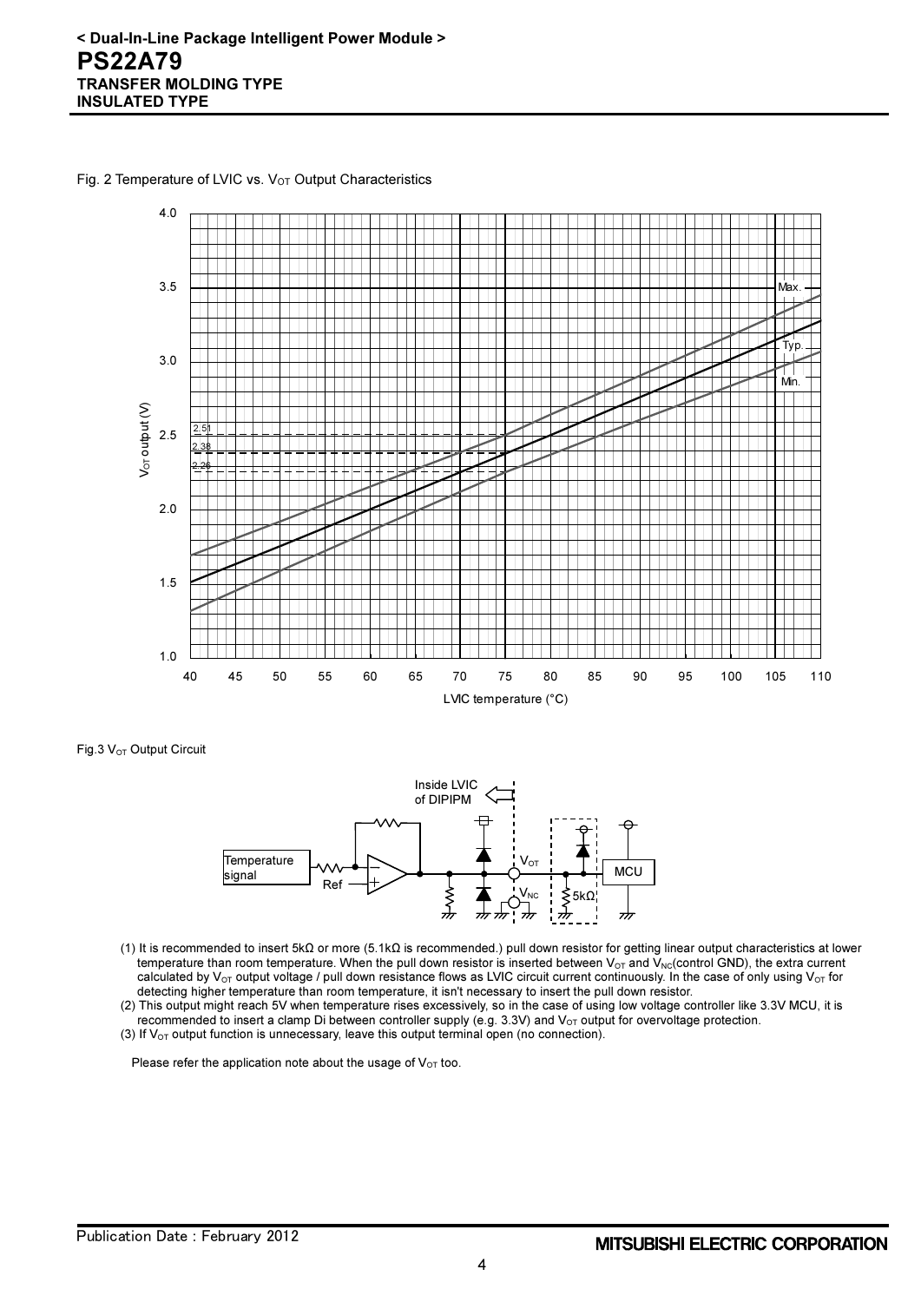Fig. 2 Temperature of LVIC vs.  $V_{OT}$  Output Characteristics



Fig.3 V<sub>OT</sub> Output Circuit



- (1) It is recommended to insert 5kΩ or more (5.1kΩ is recommended.) pull down resistor for getting linear output characteristics at lower temperature than room temperature. When the pull down resistor is inserted between  $V_{OT}$  and  $V_{NC}$  control GND), the extra current calculated by V<sub>OT</sub> output voltage / pull down resistance flows as LVIC circuit current continuously. In the case of only using V<sub>OT</sub> for detecting higher temperature than room temperature, it isn't necessary to insert the pull down resistor.
- (2) This output might reach 5V when temperature rises excessively, so in the case of using low voltage controller like 3.3V MCU, it is recommended to insert a clamp Di between controller supply (e.g. 3.3V) and  $V<sub>OT</sub>$  output for overvoltage protection. (3) If  $V_{\text{OT}}$  output function is unnecessary, leave this output terminal open (no connection).

Please refer the application note about the usage of  $V_{OT}$  too.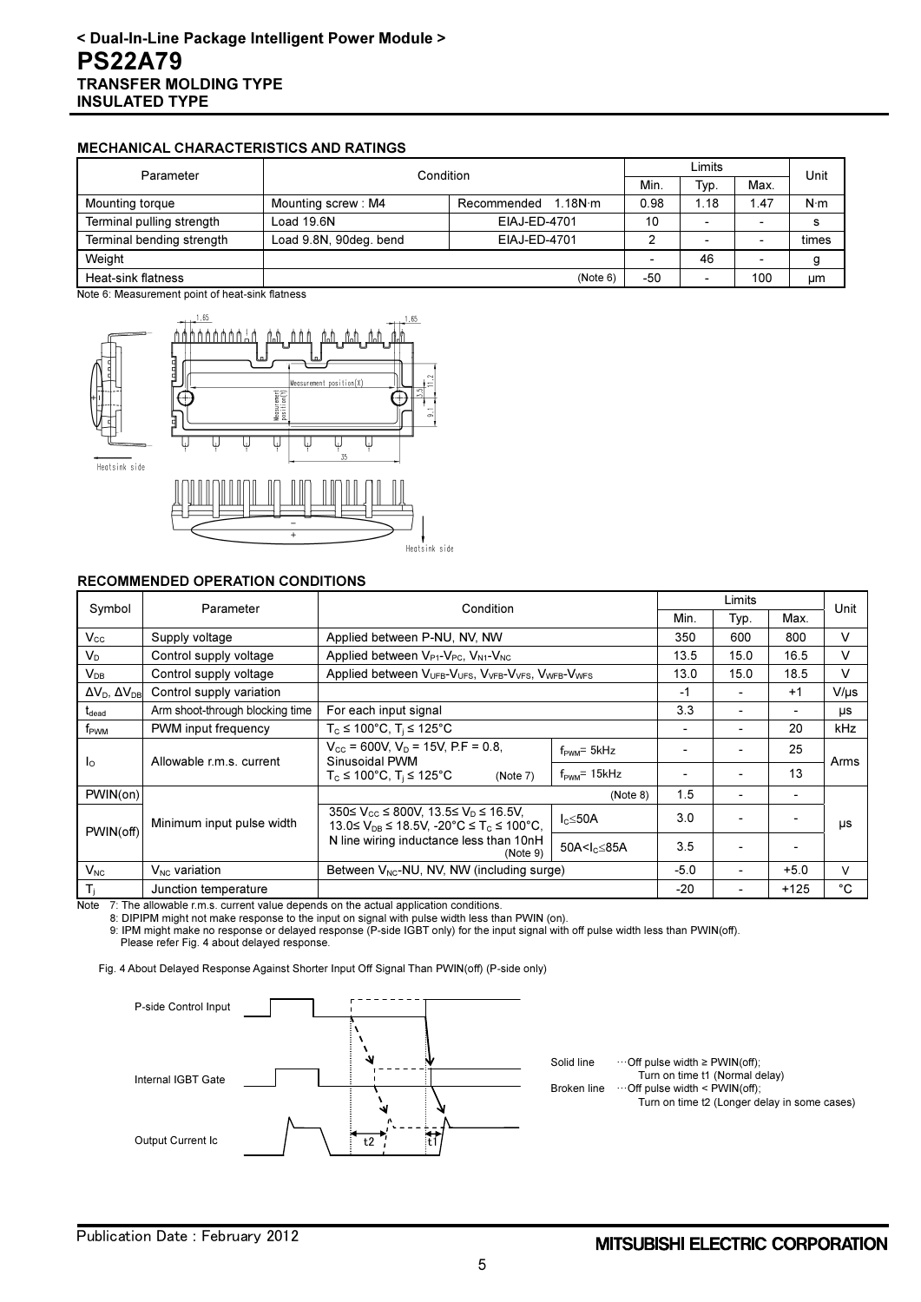### MECHANICAL CHARACTERISTICS AND RATINGS

| Parameter                 | Condition              |                                 |      | Limits                   |      |             |
|---------------------------|------------------------|---------------------------------|------|--------------------------|------|-------------|
|                           |                        |                                 |      | Typ.                     | Max. | Unit        |
| Mounting torque           | Mounting screw: M4     | 1.18 $N \cdot m$<br>Recommended | 0.98 | l.18                     | 1.47 | $N \cdot m$ |
| Terminal pulling strength | Load 19.6N             | EIAJ-ED-4701                    | 10   | $\overline{\phantom{a}}$ | -    |             |
| Terminal bending strength | Load 9.8N, 90deg. bend | EIAJ-ED-4701                    |      | $\overline{\phantom{a}}$ | ۰    | times       |
| Weight                    |                        |                                 |      | 46                       |      |             |
| Heat-sink flatness        |                        | (Note 6)                        | -50  |                          | 100  | μm          |

Note 6: Measurement point of heat-sink flatness



#### RECOMMENDED OPERATION CONDITIONS

| Symbol                                   | Parameter                                           | Condition                                                                                                                           |                              |       | Limits |        | Unit      |
|------------------------------------------|-----------------------------------------------------|-------------------------------------------------------------------------------------------------------------------------------------|------------------------------|-------|--------|--------|-----------|
|                                          |                                                     |                                                                                                                                     |                              |       | Typ.   | Max.   |           |
| $V_{\rm cc}$                             | Supply voltage                                      | Applied between P-NU, NV, NW                                                                                                        |                              | 350   | 600    | 800    | v         |
| $V_{\text{D}}$                           | Control supply voltage                              | Applied between $V_{P1}$ - $V_{PC}$ , $V_{N1}$ - $V_{NC}$                                                                           |                              | 13.5  | 15.0   | 16.5   | v         |
| $V_{DB}$                                 | Control supply voltage                              | Applied between V <sub>UFB</sub> -V <sub>UFS</sub> , V <sub>VFB</sub> -V <sub>VFS</sub> , V <sub>WFB</sub> -V <sub>WFS</sub>        |                              | 13.0  | 15.0   | 18.5   | v         |
| $\Delta V_{\rm D}$ , $\Delta V_{\rm DR}$ | Control supply variation                            |                                                                                                                                     |                              | $-1$  |        | $+1$   | $V/\mu s$ |
| $t_{\text{dead}}$                        | Arm shoot-through blocking time                     | For each input signal                                                                                                               |                              | 3.3   |        |        | μs        |
| f <sub>PWM</sub>                         | PWM input frequency                                 | $T_c \le 100^{\circ}$ C, $T_i \le 125^{\circ}$ C                                                                                    |                              |       |        | 20     | kHz       |
| l <sub>o</sub>                           | Allowable r.m.s. current                            | $V_{\text{cc}}$ = 600V, V <sub>D</sub> = 15V, P.F = 0.8,<br>Sinusoidal PWM                                                          | $f_{\text{PWM}} = 5kHz$      |       |        | 25     | Arms      |
|                                          |                                                     | $T_c \le 100^{\circ}$ C, $T_i \le 125^{\circ}$ C<br>(Note 7)                                                                        | $f_{\text{PWM}}$ = 15 $k$ Hz |       |        | 13     |           |
| PWIN(on)                                 |                                                     |                                                                                                                                     | (Note 8)                     | 1.5   |        |        |           |
| PWIN(off)                                | Minimum input pulse width                           | $350 \le V_{\text{cc}} \le 800 V$ , $13.5 \le V_{\text{D}} \le 16.5 V$ .<br>13.0≤ $V_{DB}$ ≤ 18.5V, -20°C ≤ T <sub>C</sub> ≤ 100°C, | I <sub>c</sub> ≤50A          | 3.0   |        |        | μs        |
|                                          | N line wiring inductance less than 10nH<br>(Note 9) | 50A <l<sub>c≤85A</l<sub>                                                                                                            | 3.5                          |       |        |        |           |
| $V_{NC}$                                 | $V_{NC}$ variation                                  | Between $V_{NC}$ -NU, NV, NW (including surge)                                                                                      |                              |       |        | $+5.0$ | v         |
| $T_i$                                    | Junction temperature                                |                                                                                                                                     |                              | $-20$ |        | $+125$ | °C        |

Note 7: The allowable r.m.s. current value depends on the actual application conditions.

8: DIPIPM might not make response to the input on signal with pulse width less than PWIN (on).

 9: IPM might make no response or delayed response (P-side IGBT only) for the input signal with off pulse width less than PWIN(off). Please refer Fig. 4 about delayed response.

Fig. 4 About Delayed Response Against Shorter Input Off Signal Than PWIN(off) (P-side only)



Solid line …Off pulse width ≥ PWIN(off); Turn on time t1 (Normal delay)

Broken line  $\cdots$  Off pulse width < PWIN(off);

Turn on time t2 (Longer delay in some cases)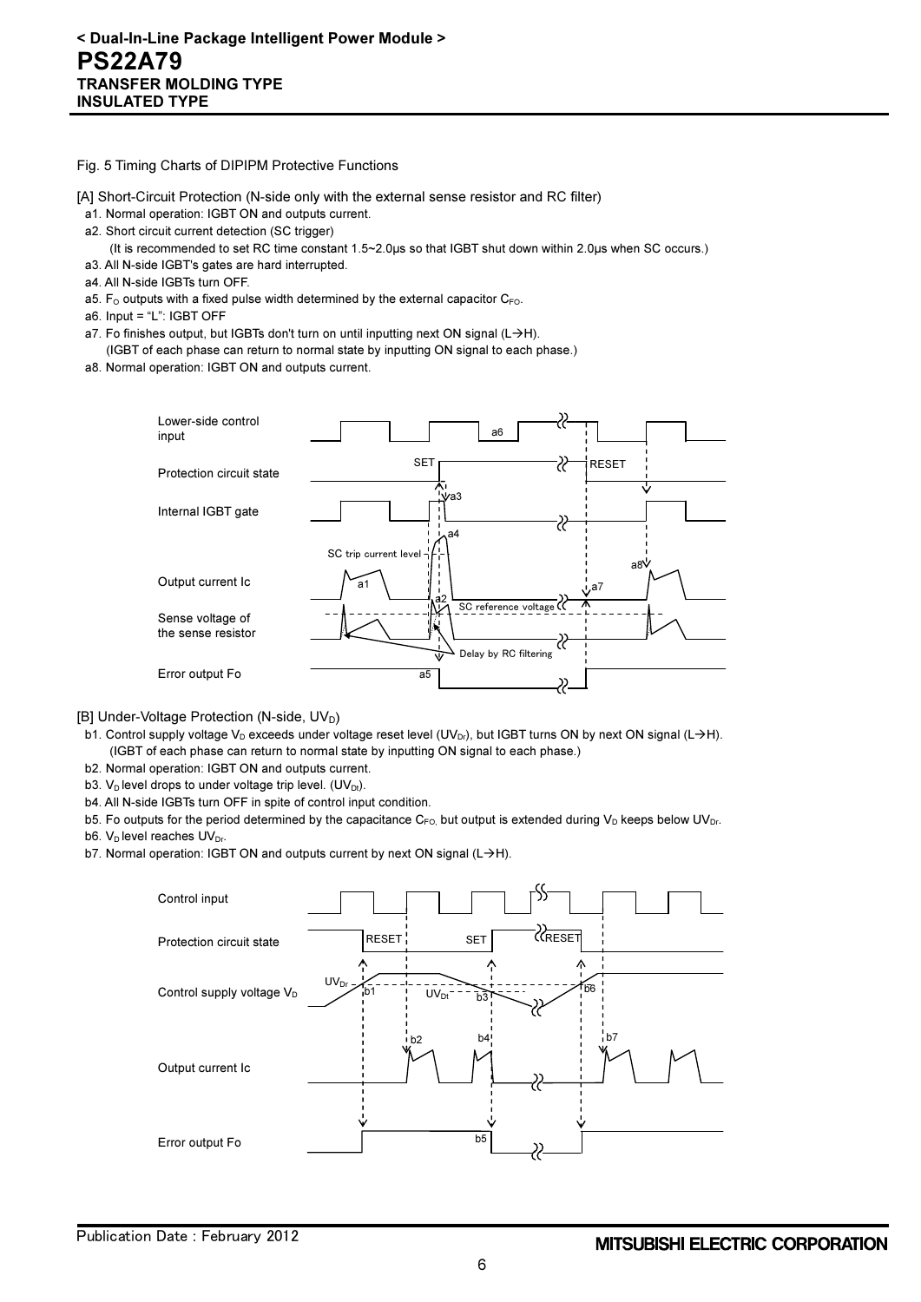#### Fig. 5 Timing Charts of DIPIPM Protective Functions

- [A] Short-Circuit Protection (N-side only with the external sense resistor and RC filter)
- a1. Normal operation: IGBT ON and outputs current.
- a2. Short circuit current detection (SC trigger)
	- (It is recommended to set RC time constant 1.5~2.0μs so that IGBT shut down within 2.0μs when SC occurs.)
- a3. All N-side IGBT's gates are hard interrupted.
- a4. All N-side IGBTs turn OFF.
- a5.  $F_{\Omega}$  outputs with a fixed pulse width determined by the external capacitor  $C_{FQ}$ .
- a6. Input = "L": IGBT OFF
- a7. Fo finishes output, but IGBTs don't turn on until inputting next ON signal  $(L\rightarrow H)$ .
- (IGBT of each phase can return to normal state by inputting ON signal to each phase.)
- a8. Normal operation: IGBT ON and outputs current.



[B] Under-Voltage Protection (N-side, UV<sub>D</sub>)

- b1. Control supply voltage V<sub>D</sub> exceeds under voltage reset level (UV<sub>Dr</sub>), but IGBT turns ON by next ON signal (L->H). (IGBT of each phase can return to normal state by inputting ON signal to each phase.)
- b2. Normal operation: IGBT ON and outputs current.
- b3.  $V_D$  level drops to under voltage trip level. (UV<sub>Dt</sub>).
- b4. All N-side IGBTs turn OFF in spite of control input condition.
- b5. Fo outputs for the period determined by the capacitance  $C_{FO}$ , but output is extended during  $V_D$  keeps below UV<sub>Dr</sub>.
- b6.  $V_D$  level reaches  $UV_{Dr}$ .
- b7. Normal operation: IGBT ON and outputs current by next ON signal (L→H).

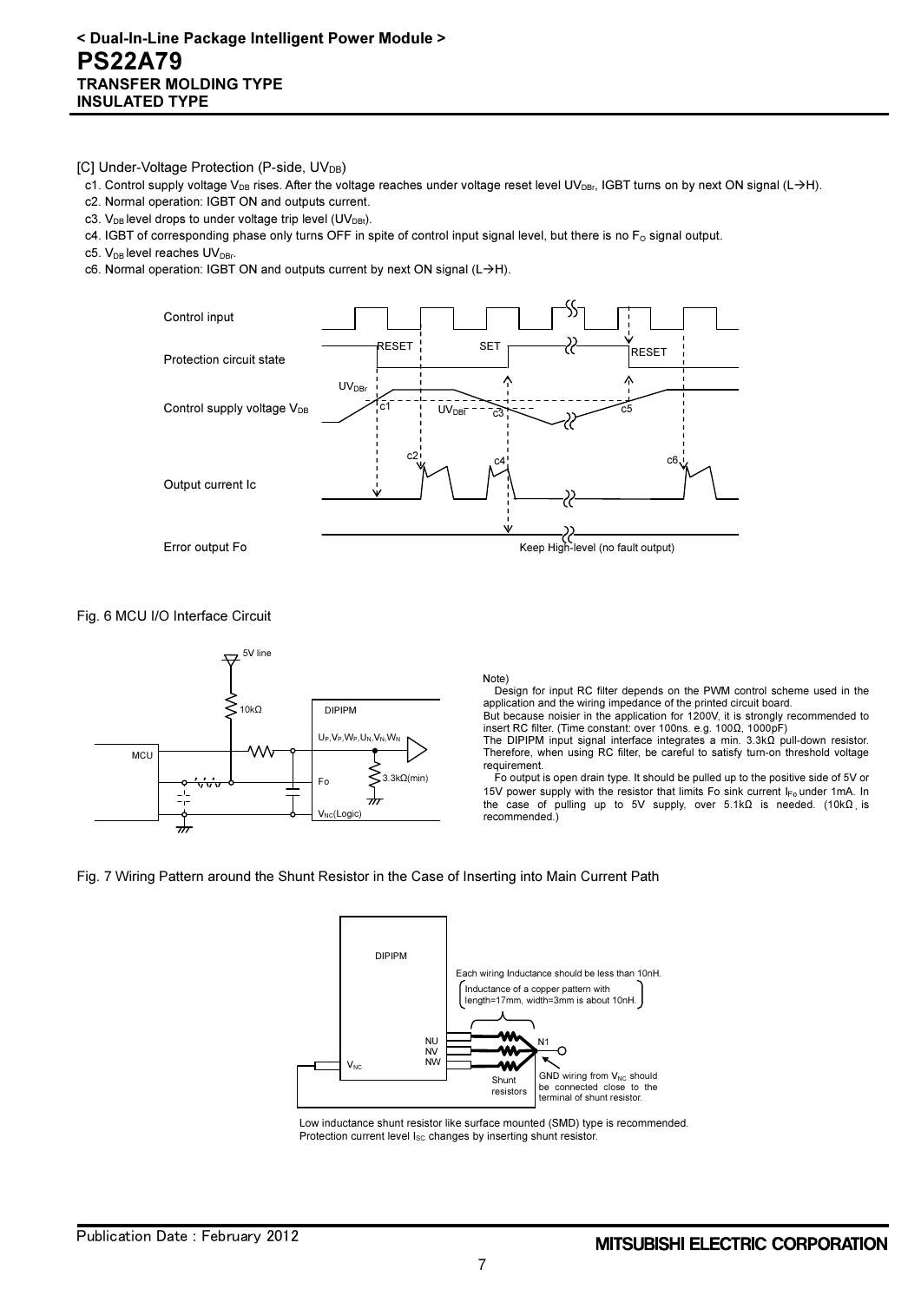[C] Under-Voltage Protection (P-side, UV<sub>DB</sub>)

- c1. Control supply voltage V<sub>DB</sub> rises. After the voltage reaches under voltage reset level UV<sub>DBr</sub>, IGBT turns on by next ON signal (L->H).
- c2. Normal operation: IGBT ON and outputs current.
- c3.  $V_{DB}$  level drops to under voltage trip level (UV<sub>DBt</sub>).
- $c4$ . IGBT of corresponding phase only turns OFF in spite of control input signal level, but there is no  $F_0$  signal output.
- c5. V<sub>DB</sub> level reaches UV<sub>DBr</sub>.
- c6. Normal operation: IGBT ON and outputs current by next ON signal  $(L\rightarrow H)$ .



Fig. 6 MCU I/O Interface Circuit



Note)

Design for input RC filter depends on the PWM control scheme used in the application and the wiring impedance of the printed circuit board.

But because noisier in the application for 1200V, it is strongly recommended to insert RC filter. (Time constant: over 100ns. e.g. 100Ω, 1000pF)

The DIPIPM input signal interface integrates a min. 3.3kΩ pull-down resistor. Therefore, when using RC filter, be careful to satisfy turn-on threshold voltage requirement.

Fo output is open drain type. It should be pulled up to the positive side of 5V or 15V power supply with the resistor that limits Fo sink current I<sub>Fo</sub> under 1mA. In the case of pulling up to 5V supply, over 5.1kΩ is needed. (10kΩ is recommended.)





Low inductance shunt resistor like surface mounted (SMD) type is recommended. Protection current level  $I_{SC}$  changes by inserting shunt resistor.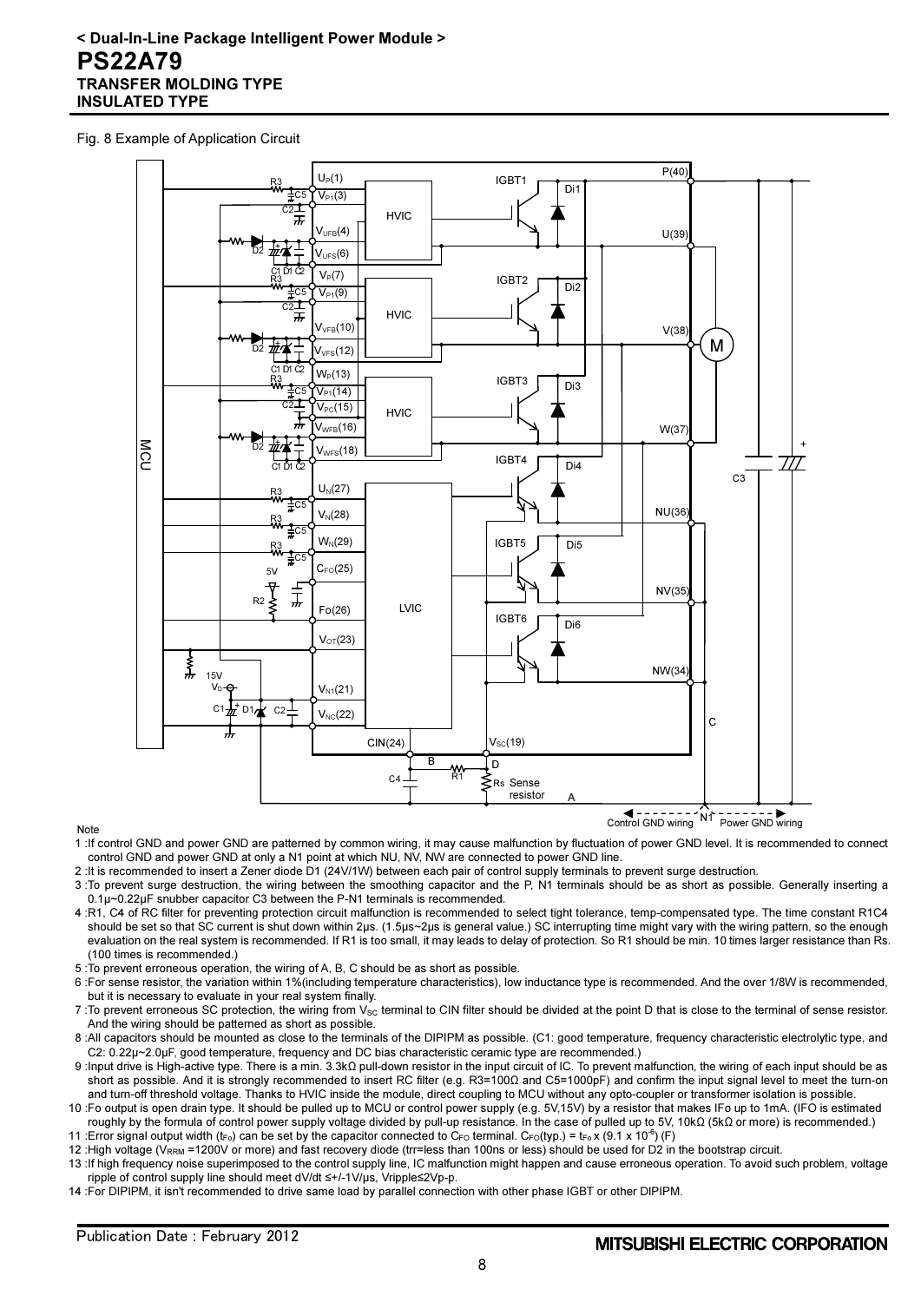## < Dual-In-Line Package Intelligent Power Module > PS22A79 TRANSFER MOLDING TYPE INSULATED TYPE

#### Fig. 8 Example of Application Circuit



#### Note

- 1 :If control GND and power GND are patterned by common wiring, it may cause malfunction by fluctuation of power GND level. It is recommended to connect control GND and power GND at only a N1 point at which NU, NV, NW are connected to power GND line.
- 2 :It is recommended to insert a Zener diode D1 (24V/1W) between each pair of control supply terminals to prevent surge destruction.
- 3 :To prevent surge destruction, the wiring between the smoothing capacitor and the P, N1 terminals should be as short as possible. Generally inserting a 0.1μ~0.22μF snubber capacitor C3 between the P-N1 terminals is recommended.
- 4 :R1, C4 of RC filter for preventing protection circuit malfunction is recommended to select tight tolerance, temp-compensated type. The time constant R1C4 should be set so that SC current is shut down within 2μs. (1.5μs~2μs is general value.) SC interrupting time might vary with the wiring pattern, so the enough evaluation on the real system is recommended. If R1 is too small, it may leads to delay of protection. So R1 should be min. 10 times larger resistance than Rs. (100 times is recommended.)
- 5 :To prevent erroneous operation, the wiring of A, B, C should be as short as possible.
- 6 :For sense resistor, the variation within 1%(including temperature characteristics), low inductance type is recommended. And the over 1/8W is recommended, but it is necessary to evaluate in your real system finally.
- 7 : To prevent erroneous SC protection, the wiring from V<sub>SC</sub> terminal to CIN filter should be divided at the point D that is close to the terminal of sense resistor. And the wiring should be patterned as short as possible.
- 8 :All capacitors should be mounted as close to the terminals of the DIPIPM as possible. (C1: good temperature, frequency characteristic electrolytic type, and C2: 0.22μ~2.0μF, good temperature, frequency and DC bias characteristic ceramic type are recommended.)
- 9 :Input drive is High-active type. There is a min. 3.3kΩ pull-down resistor in the input circuit of IC. To prevent malfunction, the wiring of each input should be as short as possible. And it is strongly recommended to insert RC filter (e.g. R3=100Ω and C5=1000pF) and confirm the input signal level to meet the turn-on and turn-off threshold voltage. Thanks to HVIC inside the module, direct coupling to MCU without any opto-coupler or transformer isolation is possible.
- 10 :Fo output is open drain type. It should be pulled up to MCU or control power supply (e.g. 5V,15V) by a resistor that makes IFo up to 1mA. (IFO is estimated roughly by the formula of control power supply voltage divided by pull-up resistance. In the case of pulled up to 5V, 10kΩ (5kΩ or more) is recommended.)
- 11 :Error signal output width ( $t_{F0}$ ) can be set by the capacitor connected to C<sub>FO</sub> terminal. C<sub>FO</sub>(typ.) =  $t_{F0} \times (9.1 \times 10^{-6})$  (F)
- 12 :High voltage (V<sub>RRM</sub> =1200V or more) and fast recovery diode (trr=less than 100ns or less) should be used for D2 in the bootstrap circuit.
- 13 :If high frequency noise superimposed to the control supply line, IC malfunction might happen and cause erroneous operation. To avoid such problem, voltage ripple of control supply line should meet dV/dt ≤+/-1V/μs, Vripple≤2Vp-p.
- 14 :For DIPIPM, it isn't recommended to drive same load by parallel connection with other phase IGBT or other DIPIPM.

Control GND wiring Power GND wiring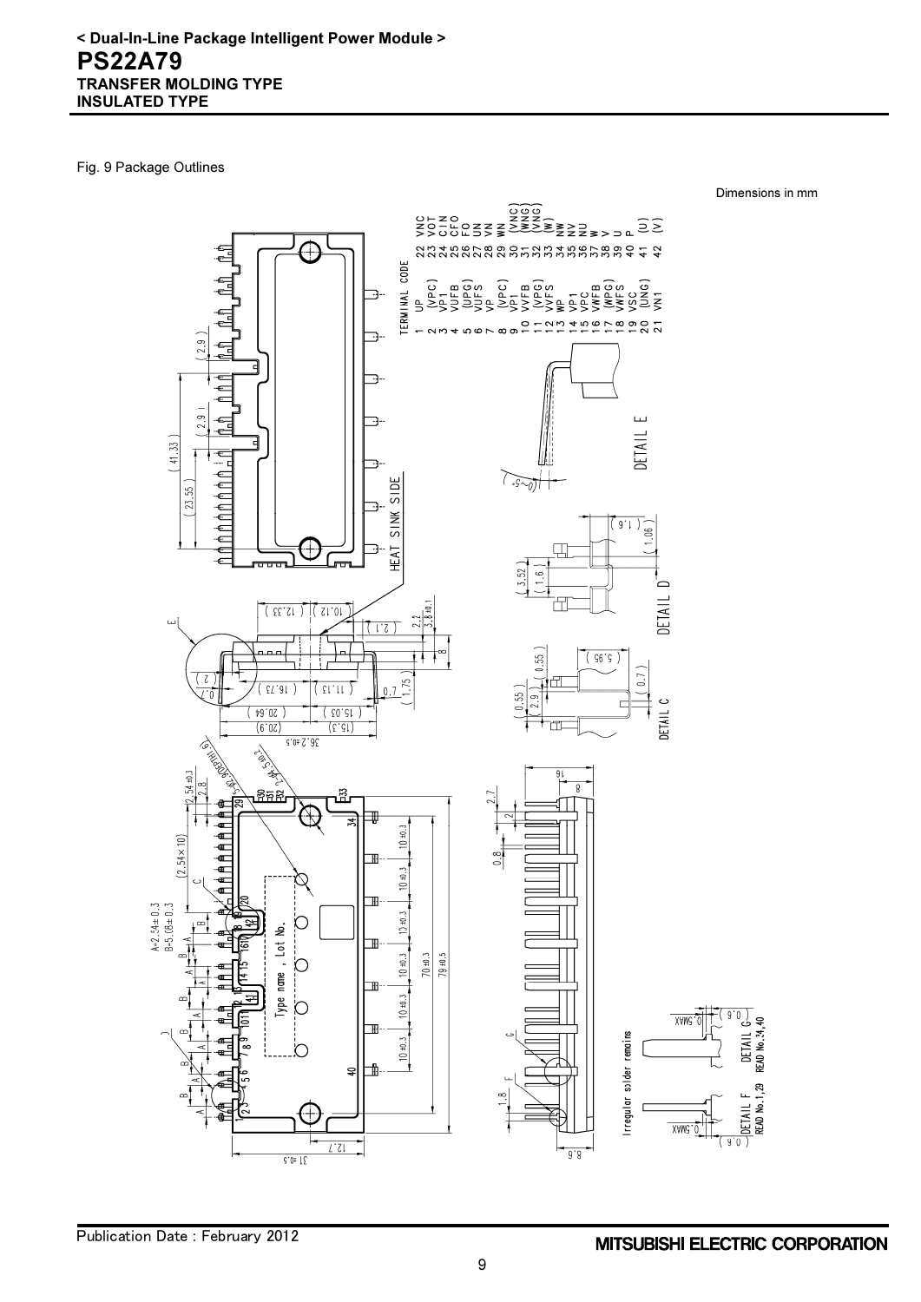Fig. 9 Package Outlines

Dimensions in mm

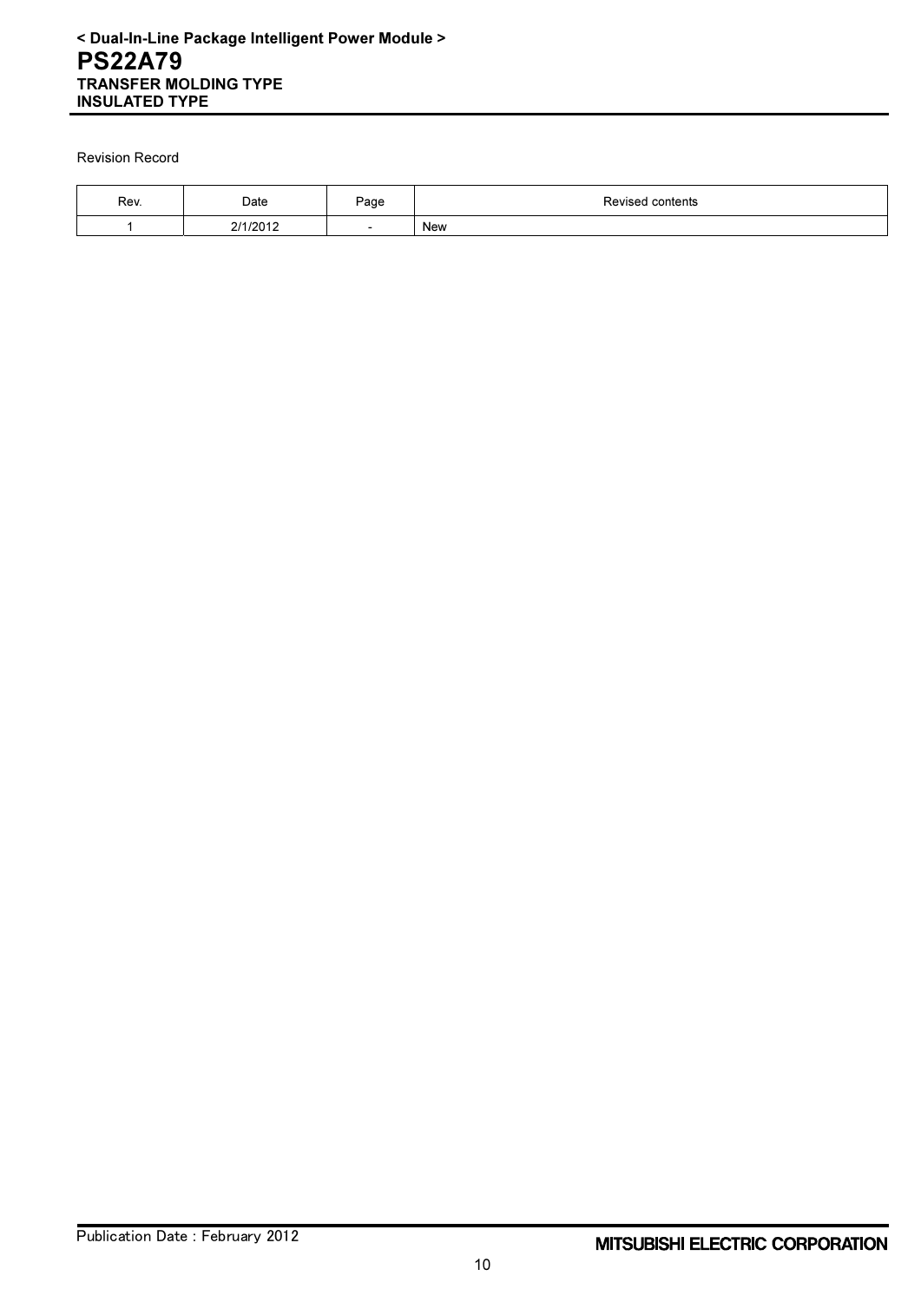Revision Record

| Rev. | Date     | Page                     | Revised contents |
|------|----------|--------------------------|------------------|
|      | 214,0012 | $\overline{\phantom{0}}$ | New              |